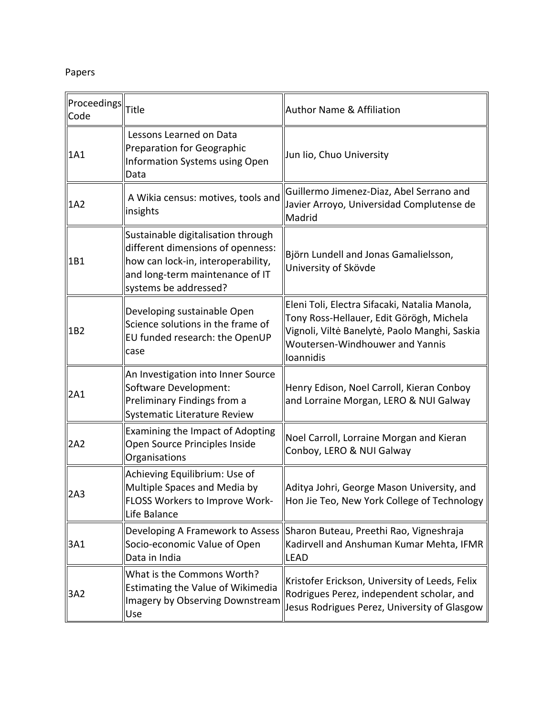## Papers

| $\parallel$ Proceedings $\parallel$<br>Code | <b>Title</b>                                                                                                                                                              | <b>Author Name &amp; Affiliation</b>                                                                                                                                                       |  |
|---------------------------------------------|---------------------------------------------------------------------------------------------------------------------------------------------------------------------------|--------------------------------------------------------------------------------------------------------------------------------------------------------------------------------------------|--|
| 1A1                                         | Lessons Learned on Data<br><b>Preparation for Geographic</b><br><b>Information Systems using Open</b><br>Data                                                             | Jun lio, Chuo University                                                                                                                                                                   |  |
| 1A2                                         | A Wikia census: motives, tools and<br>insights                                                                                                                            | Guillermo Jimenez-Diaz, Abel Serrano and<br>Javier Arroyo, Universidad Complutense de<br>Madrid                                                                                            |  |
| 1B1                                         | Sustainable digitalisation through<br>different dimensions of openness:<br>how can lock-in, interoperability,<br>and long-term maintenance of IT<br>systems be addressed? | Björn Lundell and Jonas Gamalielsson,<br>University of Skövde                                                                                                                              |  |
| 1B2                                         | Developing sustainable Open<br>Science solutions in the frame of<br>EU funded research: the OpenUP<br>case                                                                | Eleni Toli, Electra Sifacaki, Natalia Manola,<br>Tony Ross-Hellauer, Edit Görögh, Michela<br>Vignoli, Viltė Banelytė, Paolo Manghi, Saskia<br>Woutersen-Windhouwer and Yannis<br>loannidis |  |
| 2A1                                         | An Investigation into Inner Source<br>Software Development:<br>Preliminary Findings from a<br>Systematic Literature Review                                                | Henry Edison, Noel Carroll, Kieran Conboy<br>and Lorraine Morgan, LERO & NUI Galway                                                                                                        |  |
| 2A2                                         | <b>Examining the Impact of Adopting</b><br>Open Source Principles Inside<br>Organisations                                                                                 | Noel Carroll, Lorraine Morgan and Kieran<br>Conboy, LERO & NUI Galway                                                                                                                      |  |
| 2A3                                         | Achieving Equilibrium: Use of<br>Multiple Spaces and Media by<br><b>FLOSS Workers to Improve Work-</b><br>Life Balance                                                    | Aditya Johri, George Mason University, and<br>Hon Jie Teo, New York College of Technology                                                                                                  |  |
| 3A1                                         | Developing A Framework to Assess<br>Socio-economic Value of Open<br>Data in India                                                                                         | Sharon Buteau, Preethi Rao, Vigneshraja<br>Kadirvell and Anshuman Kumar Mehta, IFMR<br><b>LEAD</b>                                                                                         |  |
| 3A2                                         | What is the Commons Worth?<br><b>Estimating the Value of Wikimedia</b><br><b>Imagery by Observing Downstream</b><br>Use                                                   | Kristofer Erickson, University of Leeds, Felix<br>Rodrigues Perez, independent scholar, and<br>Jesus Rodrigues Perez, University of Glasgow                                                |  |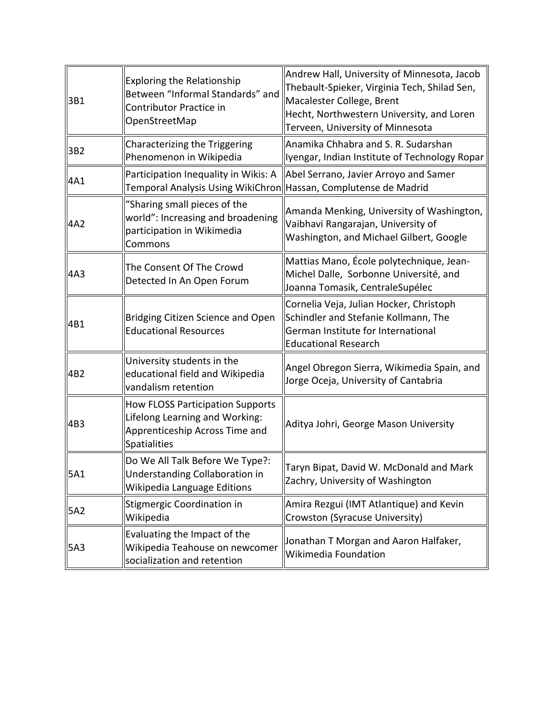| 3B1 | <b>Exploring the Relationship</b><br>Between "Informal Standards" and<br>Contributor Practice in<br>OpenStreetMap           | Andrew Hall, University of Minnesota, Jacob<br>Thebault-Spieker, Virginia Tech, Shilad Sen,<br>Macalester College, Brent<br>Hecht, Northwestern University, and Loren<br>Terveen, University of Minnesota |  |
|-----|-----------------------------------------------------------------------------------------------------------------------------|-----------------------------------------------------------------------------------------------------------------------------------------------------------------------------------------------------------|--|
| 3B2 | Characterizing the Triggering<br>Phenomenon in Wikipedia                                                                    | Anamika Chhabra and S. R. Sudarshan<br>Iyengar, Indian Institute of Technology Ropar                                                                                                                      |  |
| 4A1 | Participation Inequality in Wikis: A<br><b>Temporal Analysis Using WikiChron</b>                                            | Abel Serrano, Javier Arroyo and Samer<br>Hassan, Complutense de Madrid                                                                                                                                    |  |
| 4A2 | "Sharing small pieces of the<br>world": Increasing and broadening<br>participation in Wikimedia<br>Commons                  | Amanda Menking, University of Washington,<br>Vaibhavi Rangarajan, University of<br>Washington, and Michael Gilbert, Google                                                                                |  |
| 4A3 | The Consent Of The Crowd<br>Detected In An Open Forum                                                                       | Mattias Mano, École polytechnique, Jean-<br>Michel Dalle, Sorbonne Université, and<br>Joanna Tomasik, CentraleSupélec                                                                                     |  |
| 4B1 | <b>Bridging Citizen Science and Open</b><br><b>Educational Resources</b>                                                    | Cornelia Veja, Julian Hocker, Christoph<br>Schindler and Stefanie Kollmann, The<br>German Institute for International<br><b>Educational Research</b>                                                      |  |
| 4B2 | University students in the<br>educational field and Wikipedia<br>vandalism retention                                        | Angel Obregon Sierra, Wikimedia Spain, and<br>Jorge Oceja, University of Cantabria                                                                                                                        |  |
| 4B3 | <b>How FLOSS Participation Supports</b><br>Lifelong Learning and Working:<br>Apprenticeship Across Time and<br>Spatialities | Aditya Johri, George Mason University                                                                                                                                                                     |  |
| 5A1 | Do We All Talk Before We Type?:<br>Understanding Collaboration in<br>Wikipedia Language Editions                            | Taryn Bipat, David W. McDonald and Mark<br>Zachry, University of Washington                                                                                                                               |  |
| 5A2 | Stigmergic Coordination in<br>Wikipedia                                                                                     | Amira Rezgui (IMT Atlantique) and Kevin<br>Crowston (Syracuse University)                                                                                                                                 |  |
| 5A3 | Evaluating the Impact of the<br>Wikipedia Teahouse on newcomer<br>socialization and retention                               | Jonathan T Morgan and Aaron Halfaker,<br>Wikimedia Foundation                                                                                                                                             |  |